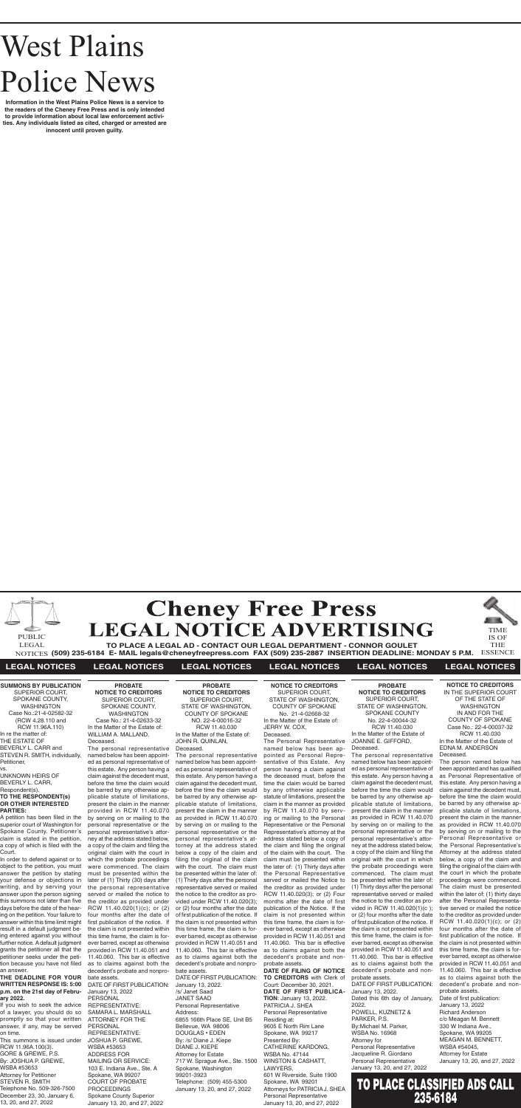

**(509) 235-6184 E- MAIL legals@cheneyfreepress.com FAX (509) 235-2887 INSERTION DEADLINE: MONDAY 5 P.M.** NOTICES ESSENCE



### **LEGAL NOTICES LEGAL NOTICES LEGAL NOTICES LEGAL NOTICES LEGAL NOTICES LEGAL NOTICES**

# West Plains Police News

**Information in the West Plains Police News is a service to the readers of the Cheney Free Press and is only intended to provide information about local law enforcement activities. Any individuals listed as cited, charged or arrested are innocent until proven guilty.**

**SUMMONS BY PUBLICATION** SUPERIOR COURT, SPOKANE COUNTY, WASHINGTON Case No.:21-4-02582-32 (RCW 4.28.110 and RCW 11.96A.110) In re the matter of: THE ESTATE OF BEVERLY L. CARR and STEVEN R. SMITH, individually, Petitioner, vs.

UNKNOWN HEIRS OF BEVERLY L. CARR Respondent(s). **TO THE RESPONDENT(s) OR OTHER INTERESTED PARTIES:** 

A petition has been filed in the superior court of Washington for Spokane County. Petitioner's claim is stated in the petition, a copy of which is filed with the Court.

In order to defend against or to object to the petition, you must answer the petition by stating your defense or objections in writing, and by serving your answer upon the person signing this summons not later than five days before the date of the hearing on the petition. Your failure to answer within this time limit might result in a default judgment being entered against you without further notice. A default judgment grants the petitioner all that the petitioner seeks under the petition because you have not filed an answer.

### **THE DEADLINE FOR YOUR WRITTEN RESPONSE IS: 5:00 p.m. on the 21st day of February 2022.**

If you wish to seek the advice of a lawyer, you should do so promptly so that your written answer, if any, may be served on time.

This summons is issued under RCW 11.96A.100(3). GORE & GREWE, P.S. By: JOSHUA P. GREWE, WSBA #53653 Attorney for Petitioner STEVEN R. SMITH Telephone No. 509-326-7500 December 23, 30, January 6, 13, 20, and 27, 2022

**PROBATE NOTICE TO CREDITORS** SUPERIOR COURT, STATE OF WASHINGTON, SPOKANE COUNTY No. 22-4-00044-32 RCW 11.40.030 In the Matter of the Estate of JOANNE E. GIFFORD, Deceased.

The personal representative named below has been appointed as personal representative of this estate. Any person having a claim against the decedent must, before the time the claim would be barred by any otherwise applicable statute of limitations, present the claim in the manner as provided in RCW 11.40.070 by serving on or mailing to the personal representative or the personal representative's attorney at the address stated below, a copy of the claim and filing the original with the court in which the probate proceedings were commenced. The claim must be presented within the later of: (1) Thirty days after the personal representative served or mailed the notice to the creditor as provided in RCW 11.40.020(1)(c ); or (2) four months after the date of first publication of the notice. If the claim is not presented within this time frame, the claim is forever barred, except as otherwise provided in RCW 11.40.051 and 11.40.060. This bar is effective as to claims against both the decedent's probate and nonprobate assets. DATE OF FIRST PUBLICATION:

January 13, 2022. Dated this 6th day of January, 2022. POWELL, KUZNETZ &

PARKER, P.S. By:Michael M. Parker, WSBA No. 16968 Attorney for Personal Representative Jacqueline R. Giordano Personal Representative January 13, 20, and 27, 2022

**PROBATE NOTICE TO CREDITORS** SUPERIOR COURT, SPOKANE COUNTY, WASHINGTON Case No.: 21-4-02633-32 In the Matter of the Estate of: WILLIAM A. MALLAND, Deceased.

The personal representative named below has been appointed as personal representative of this estate. Any person having a claim against the decedent must, before the time the claim would be barred by any otherwise applicable statute of limitations, present the claim in the manner provided in RCW 11.40.070 by serving on or mailing to the personal representative or the personal representative's attorney at the address stated below, a copy of the claim and filing the original claim with the court in which the probate proceedings were commenced. The claim must be presented within the later of (1) Thirty (30) days after the personal representative served or mailed the notice to the creditor as provided under RCW 11.40.020(1)(c); or (2) four months after the date of first publication of the notice. If the claim is not presented within this time frame, the claim is forever barred, except as otherwise provided in RCW 11.40.051 and 11.40.060. This bar is effective as to claims against both the decedent's probate and nonprobate assets.

DATE OF FIRST PUBLICATION: January 13, 2022 PERSONAL REPRESENTATIVE: SAMARA L. MARSHALL ATTORNEY FOR THE **PERSONAL** REPRESENTATIVE: JOSHUA P. GREWE, WSBA #53653 ADDRESS FOR MAILING OR SERVICE: 103 E. Indiana Ave., Ste. A Spokane, WA 99207 COURT OF PROBATE PROCEEDINGS Spokane County Superior January 13, 20, and 27, 2022

### **NOTICE TO CREDITORS** IN THE SUPERIOR COURT OF THE STATE OF WASHINGTON IN AND FOR THE COUNTY OF SPOKANE Case No.: 22-4-00037-32 RCW 11.40.030 In the Matter of the Estate of EDNA M. ANDERSON Deceased.

The person named below has been appointed and has qualified as Personal Representative of this estate. Any person having a claim against the decedent must, before the time the claim would be barred by any otherwise applicable statute of limitations, present the claim in the manner as provided in RCW 11.40.070 by serving on or mailing to the Personal Representative or the Personal Representative's Attorney at the address stated below, a copy of the claim and filing the original of the claim with the court in which the probate proceedings were commenced. The claim must be presented within the later of: (1) thirty days after the Personal Representative served or mailed the notice to the creditor as provided under RCW 11.40.020(1)(c); or (2) four months after the date of first publication of the notice. If the claim is not presented within this time frame, the claim is forever barred, except as otherwise provided in RCW 11.40.051 and 11.40.060. This bar is effective as to claims against both the decedent's probate and nonprobate assets. Date of first publication:

January 13, 2022 Richard Anderson c/o Meagan M. Bennett 330 W Indiana Ave., Spokane, WA 99205 MEAGAN M. BENNETT, WSBA #54045, Attorney for Estate January 13, 20, and 27, 2022

**PROBATE NOTICE TO CREDITORS** SUPERIOR COURT, STATE OF WASHINGTON, COUNTY OF SPOKANE NO. 22-4-00016-32 RCW 11.40.030 In the Matter of the Estate of: JOHN R. QUINLAN, Deceased.

The personal representative named below has been appointed as personal representative of this estate. Any person having a claim against the decedent must, before the time the claim would be barred by any otherwise applicable statute of limitations, present the claim in the manner as provided in RCW 11.40.070 by serving on or mailing to the personal representative or the personal representative's attorney at the address stated below a copy of the claim and filing the original of the claim with the court. The claim must be presented within the later of: (1) Thirty days after the personal representative served or mailed the notice to the creditor as provided under RCW 11.40.020(3); or (2) four months after the date of first publication of the notice. If the claim is not presented within this time frame, the claim is forever barred, except as otherwise provided in RCW 11.40.051 and 11.40.060. This bar is effective as to claims against both the decedent's probate and nonprobate assets.

DATE OF FIRST PUBLICATION: January 13, 2022. /s/ Janet Saad JANET SAAD Personal Representative Address: 6855 166th Place SE, Unit B5 Bellevue, WA 98006 DOUGLAS • EDEN By: /s/ Diane J. Kiepe DIANE J. KIEPE Attorney for Estate 717 W. Sprague Ave., Ste. 1500 Spokane, Washington 99201-3923 Telephone: (509) 455-5300 January 13, 20, and 27, 2022

### **NOTICE TO CREDITORS** SUPERIOR COURT, STATE OF WASHINGTON, COUNTY OF SPOKANE No. 21-4-02668-32 In the Matter of the Estate of: JERRY W. COX,

Deceased.

The Personal Representative named below has been appointed as Personal Representative of this Estate. Any person having a claim against the deceased must, before the time the claim would be barred by any otherwise applicable statute of limitations, present the claim in the manner as provided by RCW 11.40.070 by serving or mailing to the Personal Representative or the Personal Representative's attorney at the address stated below a copy of the claim and filing the original of the claim with the court. The claim must be presented within the later of: (1) Thirty days after the Personal Representative served or mailed the Notice to the creditor as provided under RCW 11.40.020(3); or (2) Four months after the date of first publication of the Notice. If the claim is not presented within this time frame, the claim is forever barred, except as otherwise provided in RCW 11.40.051 and 11.40.060. This bar is effective as to claims against both the decedent's probate and non-

probate assets. **DATE OF FILING OF NOTICE TO CREDITORS** with Clerk of Court: December 30, 2021. **DATE OF FIRST PUBLICA-TION**: January 13, 2022. PATRICIA J. SHEA Personal Representative Residing at: 9605 E North Rim Lane Spokane, WA 99217 Presented By: CATHERINE KARDONG, WSBA No. 47144 WINSTON & CASHATT, LAWYERS, 601 W Riverside, Suite 1900 Spokane, WA 99201 Attorneys for PATRICIA J. SHEA Personal Representative

January 13, 20, and 27, 2022

TO PLACE CLASSIFIED ADS CALL 235-6184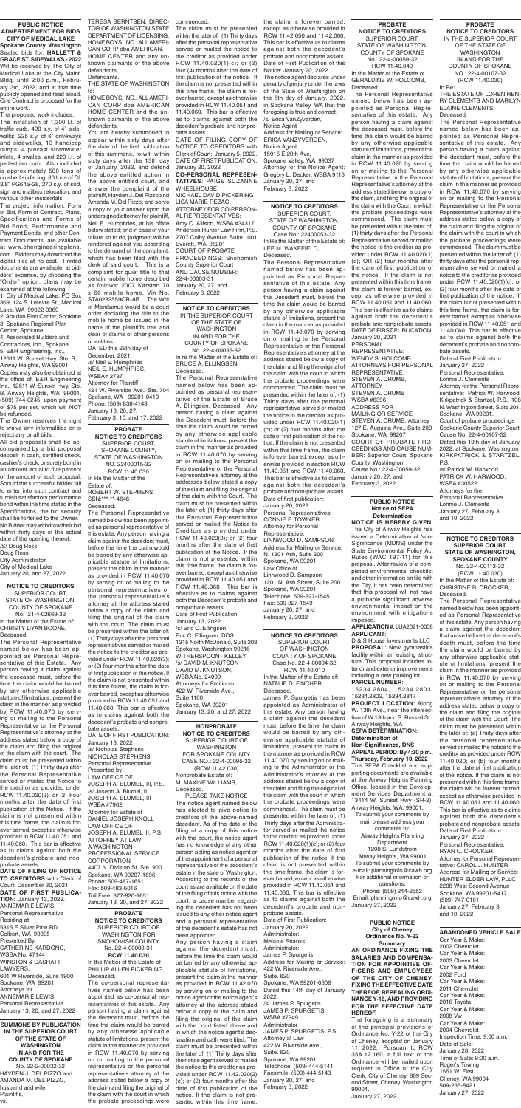**SUMMONS BY PUBLICATION IN THE SUPERIOR COURT OF THE STATE OF WASHINGTON IN AND FOR THE COUNTY OF SPOKANE** No. 22-2-00032-32 HAYDEN J. DEL PIZZO and AMANDA M. DEL PIZZO, husband and wife, Plaintiffs, vs.

**PROBATE NOTICE TO CREDITORS** SUPERIOR COURT, SPOKANE COUNTY, STATE OF WASHINGTON NO. 22400015-32 RCW 11.40.030 In Re the Matter of the Estate of: ROBERT W. STEPHENS SSN:\*\*\*-\*\*-4646 Deceased.

The Personal Representative named below has been appointed as personal representative of this estate. Any person having a claim against the decedent must, before the time the claim would be barred by any otherwise applicable statute of limitations, present the claim in the manner as provided in RCW 11.40.070 by serving on or mailing to the personal representatives or the personal representative's attorney at the address stated below a copy of the claim and filing the original of the claim with the court. The claim must be presented within the later of: (1) Thirty days after the personal representatives served or mailed the notice to the creditor as provided under RCW 11.40.020(3); or (2) four months after the date of first publication of the notice. If the claim is not presented within this time frame, the claim is forever barred, except as otherwise provided in RCW 11.40.051 and 11.40.060. This bar is effective as to claims against both the decedent's probate and nonprobate assets.

DATE OF FIRST PUBLICATION:

January 13, 2022 /s/ Nicholas Stephens NICHOLAS STEPHENS Personal Representative Presented by: LAW OFFICE OF JOSEPH A. BLUMEL, III, P.S. /s/ Joseph A. Blumel, III JOSEPH A. BLUMEL, III WSBA #7902 Attorney for Estate of DANIEL JOSEPH KNOLL LAW OFFICE OF JOSEPH A. BLUMEL III, P.S. ATTORNEY AT LAW A WASHINGTON PROFESSIONAL SERVICE **CORPORATION** 4407 N. Division St. Ste. 900 Spokane, WA 99207-1696 Phone: 509-487-1651 Fax: 509-483-5016 Toll Free: 877-820-1651 January 13, 20, and 27, 2022

**NOTICE TO CREDITORS** SUPERIOR COURT, STATE OF WASHINGTON, COUNTY OF SPOKANE No. 21-4-02669-32 In the Matter of the Estate of: CHRISTY DYAN BOONE,

Deceased. The Personal Representative named below has been ap-

pointed as Personal Representative of this Estate. Any person having a claim against the deceased must, before the time the claim would be barred by any otherwise applicable statute of limitations, present the claim in the manner as provided by RCW 11.40.070 by serving or mailing to the Personal Representative or the Personal Representative's attorney at the address stated below a copy of the claim and filing the original of the claim with the court. The claim must be presented within the later of: (1) Thirty days after the Personal Representative served or mailed the Notice to the creditor as provided under RCW 11.40.020(3); or (2) Four months after the date of first publication of the Notice. If the claim is not presented within this time frame, the claim is forever barred, except as otherwise provided in RCW 11.40.051 and 11.40.060. This bar is effective as to claims against both the decedent's probate and nonprobate assets.

**DATE OF FILING OF NOTICE TO CREDITORS** with Clerk of Court: December 30, 2021. **DATE OF FIRST PUBLICA-TION**: January 13, 2022. ANNEMARIE LEWIS Personal Representative Residing at: 5315 E Silver Pine RD Colbert, WA 99005 Presented By: CATHERINE KARDONG, WSBA No. 47144 WINSTON & CASHATT, LAWYERS, 601 W Riverside, Suite 1900 Spokane, WA 99201 Attorneys for ANNEMARIE LEWIS Personal Representative January 13, 20, and 27, 2022

### **PUBLIC NOTICE ADVERTISEMENT FOR BIDS CITY OF MEDICAL LAKE**

**Spokane County, Washington** Sealed bids for: **HALLETT & GRACE ST. SIDEWALKS - 2022** Will be received by The City of Medical Lake at the City Maint. Bldg. until 2:00 p.m., February 3rd, 2022, and at that time publicly opened and read aloud. One Contract is proposed for the entire work.

The proposed work includes: The installation of 1,300 l.f. of traffic curb, 490 s.y. of 4" sidewalks, 225 s.y. of 6" driveways and sidewalks, 13 handicap ramps, 4 precast stormwater inlets, 4 swales, and 220 l.f. of pedestrian curb. Also included is approximately 500 tons of crushed surfacing, 80 tons of Cl. 3/8" PG64S-28, 270 s.y. of sod, sign and mailbox relocation, and various other incidentals.

The project information, Form of Bid, Form of Contract, Plans, Specifications and Forms of Bid Bond, Performance and Payment Bonds, and other Contract Documents, are available at www.ehengineeringplans. com. Bidders may download the digital files at no cost. Printed documents are available, at bidders' expense, by choosing the "Order" option, plans may be examined at the following:

1. City of Medical Lake, PO Box 369, 124 S. Lefevre St., Medical Lake, WA 99022-0369 2. Abadan Plan Center, Spokane 3. Spokane Regional Plan

Center, Spokane 4. Associated Builders and Contractors, Inc., Spokane 5. E&H Engineering, Inc., 12611 W. Sunset Hwy. Ste. B, Airway Heights, WA 99001 Copies may also be obtained at the office of, E&H Engineering Inc., 12611 W. Sunset Hwy. Ste. B, Airway Heights, WA 99001, (509) 744-0245, upon payment of \$75 per set, which will NOT be refunded.

The Owner reserves the right to waive any informalities or to reject any or all bids.

All bid proposals shall be accompanied by a bid proposal deposit in cash, certified check, cashier's check, or surety bond in an amount equal to five percent of the amount of such proposal. Should the successful bidder fail to enter into such contract and furnish satisfactory performance bond within the time stated in the Specifications, the bid security shall be forfeited to the Owner. No Bidder may withdraw their bid within thirty days of the actual date of the opening thereof. /S/ Doug Ross Doug Ross

City Administrator, City of Medical Lake January 20, and 27, 2022

> **NONPROBATE NOTICE TO CREDITORS** SUPERIOR COURT OF WASHINGTON FOR SPOKANE COUNTY CASE NO.: 22-4-00095-32 (RCW 11.42.030) Nonprobate Estate of: M. MAXINE WILLIAMS, Deceased.

PLEASE TAKE NOTICE The notice agent named below has elected to give notice to creditors of the above-named decedent. As of the date of the filing of a copy of this notice with the court, the notice agent has no knowledge of any other person acting as notice agent or of the appointment of a personal representative of the decedent's estate in the state of Washington. According to the records of the court as are available on the date of the filing of this notice with the court, a cause number regarding the decedent has not been issued to any other notice agent and a personal representative of the decedent's estate has not been appointed.

Any person having a claim against the decedent must, before the time the claim would be barred by any otherwise applicable statute of limitations, present the claim in the manner as provided in RCW 11.42.070 by serving on or mailing to the notice agent or the notice agent's attorney at the address stated below a copy of the claim and filing the original of the claim with the court listed above and in which the notice agent's declaration and oath were filed. The claim must be presented within the later of: (1) Thirty days after the notice agent served or mailed the notice to the creditor as provided under RCW 11.42.020(2) (c); or (2) four months after the date of first publication of the notice. If the claim is not presented within this time frame,

**PROBATE NOTICE TO CREDITORS** SUPERIOR COURT OF WASHINGTON FOR SNOHOMISH COUNTY No. 22-4-00003-31 **RCW 11.40.030** In the Matter of the Estate of PHILLIP ALLEN PICKERING, Deceased.

The co-personal representatives named below has been appointed as co-personal representatives of this estate. Any person having a claim against the decedent must, before the time the claim would be barred by any otherwise applicable statute of limitations, present the claim in the manner as provided in RCW 11.40.070 by serving on or mailing to the personal representative or the personal representative's attorney at the address stated below a copy of the claim and filing the original of the claim with the court in which the probate proceedings were

**NOTICE TO CREDITORS** SUPERIOR COURT OF WASHINGTON

COUNTY OF SPOKANE Case No. 22-4-00094-32 RCW 11.40.010 In the Matter of the Estate of: NATALIE D. FINCHER, Deceased.

James P. Spurgetis has been appointed as Administrator of this estate. Any person having a claim against the decedent must, before the time the claim would be barred by any otherwise applicable statute of limitations, present the claim in the manner as provided in RCW 11.40.070 by serving on or mailing to the Administrator or the Administrator's attorney at the address stated below a copy of the claim and filing the original of the claim with the court in which the probate proceedings were commenced. The claim must be presented within the later of: (1) Thirty days after the Administrator served or mailed the notice to the creditor as provided under RCW 11.40.020(1)(c); or (2) four months after the date of first publication of the notice. If the claim is not presented within this time frame, the claim is forever barred, except as otherwise provided in RCW 11.40.051 and 11.40.060. This bar is effective as to claims against both the decedent's probate and nonprobate assets. Date of First Publication: January 20, 2022 Administrator:

D & S House Investments LLC **PROPOSAL**: New gymnastics

Melanie Shanks Administrator: James P. Spurgetis Address for Mailing or Service: 422 W. Riverside Ave., Suite. 620 Spokane, WA 99201-0308 Dated this 14th day of January 2022. /s/ James P. Spurgetis JAMES P. SPURGETIS, WSBA #7949 Administrator JAMES P. SPURGETIS, P.S. Attorney at Law 422 W. Riverside Ave., Suite. 620 Spokane, WA 99201 Telephone: (509) 444-5141 Facsimile: (509) 444-5143 January 20, 27, and

February 3, 2022

**NOTICE TO CREDITORS** SUPERIOR COURT, STATE OF WASHINGTON, COUNTY OF SPOKANE

Case No.: 22400053-32 In Re the Matter of the Estate of: LEE M. WAKEFIELD, Deceased.

The Personal Representative named below has been appointed as Personal Representative of this estate. Any person having a claim against the Decedent must, before the time the claim would be barred by any otherwise applicable statute of limitations, present the claim in the manner as provided in RCW 11.40.070 by serving on or mailing to the Personal Representative or the Personal Representative's attorney at the address stated below a copy of the claim and filing the original of the claim with the court in which the probate proceedings were commenced. The claim must be presented within the later of: (1) Thirty days after the personal representative served or mailed the notice to the creditor as provided under RCW 11.40.020(1) (c); or (2) four months after the date of first publication of the notice. If the claim is not presented within this time frame, the claim is forever barred, except as otherwise provided in section RCW 11.40.051 and RCW 11.40.060. This bar is effective as to claims against both the decedent's probate and non-probate assets. Date of first publication: January 20, 2022. Personal Representatives: CONNIE F. TOWNER Attorney for Personal Representative: LINNWOOD D. SAMPSON Address for Mailing or Service: N. 1201 Ash, Suite 200 Spokane, WA 99201 Law Office of Linnwood D. Sampson 1201 N. Ash Street, Suite 200 Spokane, WA 99201 Telephone: 509-327-1545 Fax: 509-327-1549 January 20, 27, and February 3, 2022

### **PROBATE NOTICE TO CREDITORS** SUPERIOR COURT,

STATE OF WASHINGTON, COUNTY OF SPOKANE No. 22-4-00059-32 RCW 11.40.040 In the Matter of the Estate of GERALDINE W. HOLCOMB, Deceased.

The Personal Representative

named below has been appointed as Personal Representative of this estate. Any person having a claim against the deceased must, before the time the claim would be barred by any otherwise applicable statute of limitations, present the claim in the manner as provided in RCW 11.40.070 by serving on or mailing to the Personal Representative or the Personal Representative's attorney at the address stated below, a copy of the claim, and filing the original of the claim with the Court in which the probate proceedings were commenced. The claim must be presented within the later of: (1) thirty days after the Personal Representative served or mailed the notice to the creditor as provided under RCW 11.40.020(1) (c); OR (2) four months after the date of first publication of the notice. If the claim is not presented within this time frame, the claim is forever barred, except as otherwise provided in RCW 11.40.051 and 11.40.060. This bar is effective as to claims against both the decedent's probate and nonprobate assets. DATE OF FIRST PUBLICATION: January 20, 2021 **PERSONAL** REPRESENTATIVE: WENDY S. HOLCOMB ATTORNEYS FOR PERSONAL REPRESENTATIVE: STEVEN A. CRUMB, **ATTORNEY** STEVEN A. CRUMB WSBA #6396 ADDRESS FOR MAILING OR SERVICE STEVEN A. CRUMB, Attorney 127 E. Augusta Ave., Suite 200 Spokane, WA 99207 COURT OF PROBATE PRO-CEEDINGS AND CAUSE NUM-BER: Superior Court, Spokane County, Washington Cause No.: 22-4-00059-32 January 20, 27, and February 3, 2022

**NOTICE TO CREDITORS** IN THE SUPERIOR COURT OF THE STATE OF WASHINGTON IN AND FOR THE COUNTY OF SPOKANE No. 22-4-00035-32 In re the Matter of the Estate of:

BRUCE A. ELLINGSEN, Deceased.

The Personal Representative named below has been appointed as personal representative of the Estate of Bruce A. Ellingsen, Deceased. Any person having a claim against the Decedent must, before the time the claim would be barred by any otherwise applicable statute of limitations, present the claim in the manner as provided in RCW 11.40.070 by serving on or mailing to the Personal Representative or the Personal Representative's attorney at the addresses below stated a copy of the claim and filing the original of the claim with the Court. The claim must be presented within the later of: (1) thirty days after the Personal Representative served or mailed the Notice to Creditors as provided under RCW 11.40.020(3); or (2) four months after the date of first publication of the Notice. If the claim is not presented within this time frame, the claim is forever barred, except as otherwise provided in RCW 11.40.051 and RCW 11.40.060. This bar is effective as to claims against both the Decedent's probate and nonprobate assets. Date of First Publication: January 13, 2022 /s/ Eric C. Ellingsen Eric C. Ellingsen, DDS 1215 North McDonald, Suite 203 Spokane, Washington 99216

WITHERSPOON · KELLEY /s/ DAVID M. KNUTSON DAVID M. KNUTSON, WSBA No. 24099 Attorneys for Petitioner 422 W. Riverside Ave., Suite 1100 Spokane, WA 99201 January 13, 20, and 27, 2022

TERESA BERNTSEN, DIREC-TOR OF WASHINGTON STATE DEPARTMENT OF LICENSING, HOME BOYS, INC., ALL AMERI-CAN CORP dba AMERICAN. HOME CENTER and any unknown claimants of the above

defendants, Defendants. THE STATE OF WASHINGTON

to: HOME BOYS, INC., ALL AMERI-CAN CORP dba AMERICAN HOME CENTER and the unknown claimants of the above defendants:

You are hereby summoned to appear within sixty days after the date of the first publication of this summons, to-wit, within sixty days after the 13th day of January, 2022, and defend the above entitled action in the above entitled court, and answer the complaint of the plaintiff, Hayden J. Del Pizzo and Amanda M. Del Pizzo, and serve a copy of your answer upon the undersigned attorney for plaintiff, Neil E. Humphries, at his office below stated; and in case of your failure so to do, judgment will be rendered against you according to the demand of the complaint, which has been filed with the clerk of said court. This is a complaint for quiet title to that certain mobile home described as follows: 2007 Karsten 70 x 66 mobile home, Vin No. STA0282559OR-AB. The Writ of Mandamus would be a court order declaring the title to the mobile home be issued in the name of the plaintiffs free and clear of claims of other persons

or entities. DATED this 29th day of December, 2021. /s/ Neil E. Humphries NEIL E. HUMPHRIES, WSBA# 2737 Attorney for Plaintiff 421 W. Riverside Ave., Ste. 704 Spokane, WA 99201-0410 Phone: (509) 838-4148 January 13, 20, 27, February 3, 10, and 17, 2022

commenced.

The claim must be presented within the later of: (1) Thirty days after the personal representative served or mailed the notice to the creditor as provided under RCW 11.40.020(1)(c); or (2) four (4) months after the date of first publication of the notice. If the claim is not presented within this time frame, the claim is forever barred, except as otherwise provided in RCW 11.40.051 and 11.40.060. This bar is effective as to claims against both the decedent's probate and nonprobate assets.

DATE OF FILING COPY OF NOTICE TO CREDITORS with Clerk of Court: January 5, 2022. DATE OF FIRST PUBLICATION: January 20, 2022 **CO-PERSONAL REPRESEN-**

**TATIVES**: PAIGE SUZANNE WHEELHOUSE

MICHAEL DAVID PICKERING LISA MARIE REZAC ATTORNEY FOR CO-PERSON-AL REPRESENTATIVES: Amy C. Allison, WSBA #34317 Anderson Hunter Law Firm, P.S. 2707 Colby Avenue, Suite 1001 Everett, WA 98201 COURT OF PROBATE PROCEEDINGS: Snohomish County Superior Court AND CAUSE NUMBER: 22-4-00003-31 January 20, 27, and

February 3, 2022

the claim is forever barred, except as otherwise provided in RCW 11.42.050 and 11.42.060. This bar is effective as to claims against both the decedent's probate and nonprobate assets. Date of First Publication of this Notice: January 20, 2022

The notice agent declares under penalty of perjury under the laws of the State of Washington on the 5th day of January, 2022, in Spokane Valley, WA that the foregoing is true and correct. /s/ Erica VanZyverden, Notice Agent Address for Mailing or Service: ERICA VANZYVERDEN, Notice Agent 15015 E 20th Ave, Spokane Valley, WA 99037 Attorney for the Notice Agent: Gregory L. Decker, WSBA 9116 January 20, 27, and February 3, 2022

### **PUBLIC NOTICE Notice of SEPA Determination**

**NOTICE IS HEREBY GIVEN**; The City of Airway Heights has issued a Determination of Non-Significance (MDNS) under the State Environmental Policy Act Rules (WAC 197-11) for this proposal. After review of a completed environmental checklist and other information on file with the City, it has been determined that this proposal will not have a probable significant adverse environmental impact on the environment with mitigations imposed.

**APPLICATION #**: LUA2021-0008 **APPLICANT**:

facility within an existing structure. This proposal includes interior and exterior improvements including a new parking lot. **PARCEL NUMBER**:

15234.2804, 15234.2803, 15234.2802, 15234.2817 **PROJECT LOCATION**: Along W. 13th Ave., near the intersection of W.13th and S. Russell St., Airway Heights, WA **SEPA DETERMINATION**:

**Determination of Non-Significance, DNS**

**APPEAL PERIOD**: **By 4:30 p.m., Thursday, February 10, 2022** The SEPA Checklist and supporting documents are available at the Airway Heights Planning Office, located in the Development Services Department at 13414 W. Sunset Hwy (SR-2), Airway Heights, WA, 99001.

To submit your comments by mail please address your comments to: Airway Heights Planning Department 1208 S. Lundstrom Airway Heights, WA 99001 To submit your comments by e-mail: planninginfo@cawh.org For additional information or questions:

Phone: (509) 244-2552 Email: planninginfo@cawh.org January 27, 2022

### **PUBLIC NOTICE City of Cheney**

**Ordinance No. Y-22 Summary AN ORDINANCE FIXING THE SALARIES AND COMPENSA-TION FOR APPOINTIVE OF-FICERS AND EMPLOYEES OF THE CITY OF CHENEY, FIXING THE EFFECTIVE DATE THEREOF, REPEALING ORDI-NANCE Y-16, AND PROVIDING FOR THE EFFECTIVE DATE HEREOF.** 

The foregoing is a summary of the principal provisions of Ordinance No. Y-22 of the City of Cheney, adopted on January 11, 2022. Pursuant to RCW 35A.12.160, a full text of the Ordinance will be mailed upon request to Office of the City Clerk, City of Cheney, 609 Second Street, Cheney, Washington 99004. January 27, 2022

### **PROBATE NOTICE TO CREDITORS** IN THE SUPERIOR COURT

OF THE STATE OF WASHINGTON IN AND FOR THE COUNTY OF SPOKANE NO. 22-4-00107-32 (RCW 11.40.030)

In Re: THE ESTATE OF LOREN HEN-RY CLEMENTS AND MARILYN ELAINE CLEMENTS, Deceased.

The Personal Representative named below has been appointed as Personal Representative of this estate. Any person having a claim against the decedent must, before the time the claim would be barred by any otherwise applicable statute of limitations, present the claim in the manner as provided in RCW 11.40.070 by serving on or mailing to the Personal Representative or the Personal Representative's attorney at the address stated below a copy of the claim and filing the original of the claim with the court in which the probate proceedings were commenced. The claim must be presented within the latter of: (1) thirty days after the personal representative served or mailed a notice to the creditor as provided under RCW 11.40.020(1)(c); or (2) four months after the date of first publication of the notice. If the claim is not presented within this time frame, the claim is forever barred, except as otherwise provided in RCW 11.40.051 and 11.40.060. This bar is effective as to claims against both the decedent's probate and nonprobate assets.

Date of First Publication: January 27, 2022 Personal Representative: Lonnie J. Clements Attorney for the Personal Representative: Patrick W. Harwood, Kirkpatrick & Startzel, P.S., 108 N. Washington Street, Suite 201, Spokane, WA 99201. Court of probate proceedings Spokane County Superior Court, Cause No. 22-4-00107-32 Dated this 19th day of January, 2022, at Spokane, Washington KIRKPATRICK & STARTZEL, P.S.

/s/ Patrick W. Harwood PATRICK W. HARWOOD, WSBA #30522 Attorneys for the Personal Representative Lonnie J. Clements January 27, February 3, and 10, 2022

### **ABANDONED VEHICLE SALE**

Car Year & Make: 2002 Chevrolet Car Year & Make: 2003 Chevrolet Car Year & Make: 2002 Ford Car Year & Make: 2011 Chevrolet Car Year & Make: 2016 Toyota Car Year & Make: 2008 Vw Car Year & Make: 2004 Chevrolet Inspection Time: 9:00 a.m. Date of Sale: January 28, 2022 Time of Sale: 9:00 a.m. Roger's Towing 1551 W. First Cheney, WA 99004 509-235-8421 January 27, 2022

### **NOTICE TO CREDITORS SUPERIOR COURT, STATE OF WASHINGTON, SPOKANE COUNTY**

No. 22-4-00113-32 (RCW 11.40.030) In the Matter of the Estate of: CHRISTINE B. CROCKER, Deceased.

The Personal Representative named below has been appointed as Personal Representative of this estate. Any person having a claim against the decedent that arose before the decedent's death must, before the time the claim would be barred by any otherwise applicable statute of limitations, present the claim in the manner as provided in RCW 11.40.070 by serving on or mailing to the Personal Representative or the personal representative's attorney at the address stated below a copy of the claim and filing the original of the claim with the Court. The claim must be presented within the later of: (a) Thirty days after the personal representative served or mailed the notice to the creditor as provided under RCW 11.40.020; or (b) four months after the date of first publication of the notice. If the claim is not presented within this time frame, the claim will be forever barred, except as otherwise provided in RCW 11.40.051 and 11.40.060. This bar is effective as to claims against both the decedent's probate and nonprobate assets. Date of First Publication: January 27, 2022 Personal Representative: RYAN C. CROCKER Attorney for Personal Representative: CAROL J. HUNTER Address for Mailing or Service: HUNTER ELDER LAW, PLLC 2208 West Second Avenue Spokane, WA 99201-5417 (509) 747-0101 January 27, February 3, and 10, 2022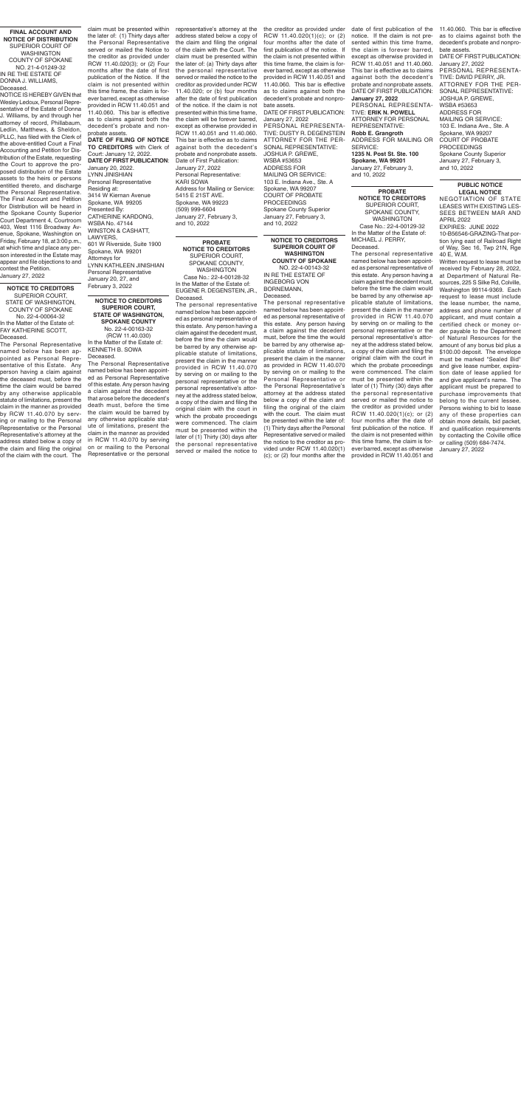**PROBATE** 

**NOTICE TO CREDITORS** SUPERIOR COURT, SPOKANE COUNTY, WASHINGTON Case No.: 22-4-00129-32 In the Matter of the Estate of: MICHAEL J. PERRY, Deceased.

The personal representative named below has been appointed as personal representative of this estate. Any person having a claim against the decedent must, before the time the claim would be barred by any otherwise applicable statute of limitations, present the claim in the manner provided in RCW 11.40.070 by serving on or mailing to the personal representative or the personal representative's attorney at the address stated below, a copy of the claim and filing the original claim with the court in which the probate proceedings were commenced. The claim must be presented within the later of (1) Thirty (30) days after the personal representative served or mailed the notice to the creditor as provided under RCW 11.40.020(1)(c); or (2) four months after the date of first publication of the notice. If the claim is not presented within this time frame, the claim is forever barred, except as otherwise provided in RCW 11.40.051 and

**PROBATE NOTICE TO CREDITORS** SUPERIOR COURT, SPOKANE COUNTY, WASHINGTON Case No.: 22-4-00128-32 In the Matter of the Estate of: EUGENE R. DEGENSTEIN, JR.,

Deceased. The personal representative named below has been appointed as personal representative of this estate. Any person having a claim against the decedent must, before the time the claim would be barred by any otherwise applicable statute of limitations, present the claim in the manner provided in RCW 11.40.070 by serving on or mailing to the personal representative or the personal representative's attorney at the address stated below, a copy of the claim and filing the original claim with the court in which the probate proceedings were commenced. The claim must be presented within the later of (1) Thirty (30) days after the personal representative served or mailed the notice to

**NOTICE TO CREDITORS SUPERIOR COURT OF WASHINGTON COUNTY OF SPOKANE** NO. 22-4-00143-32 IN RE THE ESTATE OF INGEBORG VON

**Deceased** The Personal Representative named below has been appointed as Personal Representative of this Estate. Any person having a claim against the deceased must, before the time the claim would be barred by any otherwise applicable statute of limitations, present the claim in the manner as provided by RCW 11.40.070 by serving or mailing to the Personal Representative or the Personal Representative's attorney at the address stated below a copy of the claim and filing the original of the claim with the court. The

BORNEMANN, Deceased.

The personal representative named below has been appointed as personal representative of this estate. Any person having a claim against the decedent must, before the time the would be barred by any otherwise applicable statute of limitations, present the claim in the manner as provided in RCW 11.40.070 by serving on or mailing to the Personal Representative or the Personal Representative's attorney at the address stated below a copy of the claim and filing the original of the claim with the court. The claim must be presented within the later of: (1) Thirty days after the Personal Representative served or mailed the notice to the creditor as provided under RCW 11.40.020(1) (c); or (2) four months after the

### **NOTICE TO CREDITORS SUPERIOR COURT, STATE OF WASHINGTON, SPOKANE COUNTY** No. 22-4-00163-32 (RCW 11.40.030)

In the Matter of the Estate of: KENNETH B. SOWA Deceased.

The Personal Representative named below has been appointed as Personal Representative of this estate. Any person having a claim against the decedent that arose before the decedent's death must, before the time the claim would be barred by any otherwise applicable statute of limitations, present the claim in the manner as provided in RCW 11.40.070 by serving on or mailing to the Personal Representative or the personal

**NOTICE TO CREDITORS** SUPERIOR COURT, STATE OF WASHINGTON, COUNTY OF SPOKANE No. 22-4-00064-32 In the Matter of the Estate of: FAY KATHERINE SCOTT,

### **PUBLIC NOTICE LEGAL NOTICE**

NEGOTIATION OF STATE LEASES WITH EXISTING LES-SEES BETWEEN MAR AND APRIL 2022 EXPIRES: JUNE 2022

10-B56546-GRAZING-That portion lying east of Railroad Right of Way, Sec 16, Twp 21N, Rge 40 E, W.M.

the creditor as provided under date of first publication of the 11.40.060. This bar is effective notice. If the claim is not presented within this time frame, the claim is forever barred, except as otherwise provided in RCW 11.40.051 and 11.40.060. This bar is effective as to claims against both the decedent's probate and nonprobate assets. DATE OF FIRST PUBLICATION: **January 27, 2022** PERSONAL REPRESENTA-TIVE: **ERIK N. POWELL** ATTORNEY FOR PERSONAL REPRESENTATIVE: **Robb E. Grangroth** ADDRESS FOR MAILING OR SERVICE: **1235 N. Post St. Ste. 100 Spokane, WA 99201** January 27, February 3, and 10, 2022

> Written request to lease must be received by February 28, 2022, at Department of Natural Resources, 225 S Silke Rd, Colville, Washington 99114-9369. Each request to lease must include the lease number, the name, address and phone number of applicant, and must contain a certified check or money order payable to the Department of Natural Resources for the amount of any bonus bid plus a \$100.00 deposit. The envelope must be marked "Sealed Bid" and give lease number, expiration date of lease applied for and give applicant's name. The applicant must be prepared to purchase improvements that belong to the current lessee. Persons wishing to bid to lease any of these properties can obtain more details, bid packet, and qualification requirements by contacting the Colville office or calling (509) 684-7474. January 27, 2022

**FINAL ACCOUNT AND NOTICE OF DISTRIBUTION** SUPERIOR COURT OF WASHINGTON COUNTY OF SPOKANE NO. 21-4-01249-32 IN RE THE ESTATE OF DONNA J. WILLIAMS, Deceased.

NOTICE IS HEREBY GIVEN that Wesley Ledoux, Personal Representative of the Estate of Donna J. Williams, by and through her attorney of record, Phillabaum, Ledlin, Matthews, & Sheldon, PLLC, has filed with the Clerk of the above-entitled Court a Final Accounting and Petition for Distribution of the Estate, requesting the Court to approve the proposed distribution of the Estate assets to the heirs or persons entitled thereto, and discharge the Personal Representative. The Final Account and Petition for Distribution will be heard in the Spokane County Superior Court Department 4, Courtroom 403, West 1116 Broadway Avenue, Spokane, Washington on Friday, February 18, at 3:00 p.m., at which time and place any person interested in the Estate may appear and file objections to and contest the Petition. January 27, 2022

the later of: (1) Thirty days after the Personal Representative served or mailed the Notice to the creditor as provided under RCW 11.40.020(3); or (2) Four months after the date of first publication of the Notice. If the claim is not presented within this time frame, the claim is forever barred, except as otherwise provided in RCW 11.40.051 and 11.40.060. This bar is effective as to claims against both the decedent's probate and nonprobate assets.

**DATE OF FILING OF NOTICE TO CREDITORS** with Clerk of Court: January 12, 2022. **DATE OF FIRST PUBLICATION**: January 20, 2022. LYNN JINISHIAN Personal Representative Residing at: 3414 W Kiernan Avenue Spokane, WA 99205 Presented By: CATHERINE KARDONG, WSBA No. 47144 WINSTON & CASHATT, LAWYERS, 601 W Riverside, Suite 1900 Spokane, WA 99201 Attorneys for LYNN KATHLEEN JINISHIAN

claim must be presented within representative's attorney at the address stated below a copy of the claim and filing the original of the claim with the Court. The claim must be presented within the later of: (a) Thirty days after the personal representative served or mailed the notice to the creditor as provided under RCW 11.40.020; or (b) four months after the date of first publication of the notice. If the claim is not presented within this time frame, the claim will be forever barred, except as otherwise provided in RCW 11.40.051 and 11.40.060. This bar is effective as to claims against both the decedent's probate and nonprobate assets. Date of First Publication: January 27, 2022 Personal Representative:

Personal Representative January 20, 27, and February 3, 2022

KARI SOWA Address for Mailing or Service: 5415 E 21ST AVE. Spokane, WA 99223 (509) 999-6604 January 27, February 3, and 10, 2022

RCW 11.40.020(1)(c); or (2) four months after the date of first publication of the notice. If the claim is not presented within this time frame, the claim is forever barred, except as otherwise provided in RCW 11.40.051 and 11.40.060. This bar is effective as to claims against both the decedent's probate and nonprobate assets.

DATE OF FIRST PUBLICATION: January 27, 2022

PERSONAL REPRESENTA-TIVE: DUSTY R. DEGENSTEIN ATTORNEY FOR THE PER-SONAL REPRESENTATIVE: JOSHUA P. GREWE, WSBA #53653 ADDRESS FOR MAILING OR SERVICE: 103 E. Indiana Ave., Ste. A Spokane, WA 99207 COURT OF PROBATE **PROCEEDINGS** Spokane County Superior January 27, February 3, and 10, 2022

as to claims against both the decedent's probate and nonprobate assets. DATE OF FIRST PUBLICATION: January 27, 2022 PERSONAL REPRESENTA-TIVE: DAVID PERRY, JR. ATTORNEY FOR THE PER-SONAL REPRESENTATIVE:

JOSHUA P. GREWE, WSBA #53653 ADDRESS FOR MAILING OR SERVICE: 103 E. Indiana Ave., Ste. A Spokane, WA 99207 COURT OF PROBATE PROCEEDINGS Spokane County Superior January 27, February 3, and 10, 2022